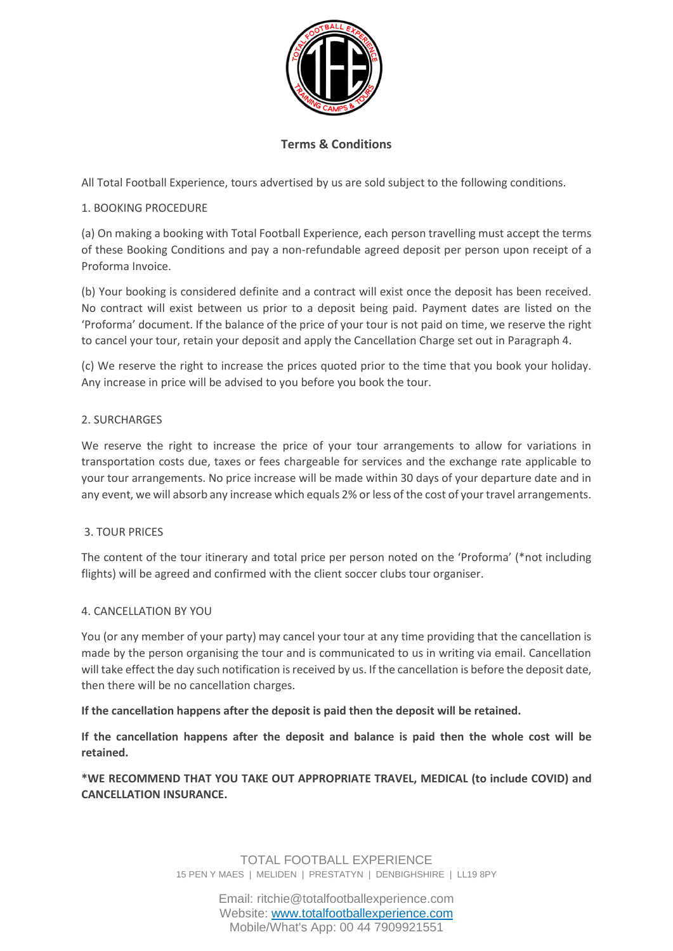

## **Terms & Conditions**

All Total Football Experience, tours advertised by us are sold subject to the following conditions.

#### 1. BOOKING PROCEDURE

(a) On making a booking with Total Football Experience, each person travelling must accept the terms of these Booking Conditions and pay a non-refundable agreed deposit per person upon receipt of a Proforma Invoice.

(b) Your booking is considered definite and a contract will exist once the deposit has been received. No contract will exist between us prior to a deposit being paid. Payment dates are listed on the 'Proforma' document. If the balance of the price of your tour is not paid on time, we reserve the right to cancel your tour, retain your deposit and apply the Cancellation Charge set out in Paragraph 4.

(c) We reserve the right to increase the prices quoted prior to the time that you book your holiday. Any increase in price will be advised to you before you book the tour.

### 2. SURCHARGES

We reserve the right to increase the price of your tour arrangements to allow for variations in transportation costs due, taxes or fees chargeable for services and the exchange rate applicable to your tour arrangements. No price increase will be made within 30 days of your departure date and in any event, we will absorb any increase which equals 2% or less of the cost of your travel arrangements.

#### 3. TOUR PRICES

The content of the tour itinerary and total price per person noted on the 'Proforma' (\*not including flights) will be agreed and confirmed with the client soccer clubs tour organiser.

#### 4. CANCELLATION BY YOU

You (or any member of your party) may cancel your tour at any time providing that the cancellation is made by the person organising the tour and is communicated to us in writing via email. Cancellation will take effect the day such notification is received by us. If the cancellation is before the deposit date, then there will be no cancellation charges.

#### **If the cancellation happens after the deposit is paid then the deposit will be retained.**

**If the cancellation happens after the deposit and balance is paid then the whole cost will be retained.**

**\*WE RECOMMEND THAT YOU TAKE OUT APPROPRIATE TRAVEL, MEDICAL (to include COVID) and CANCELLATION INSURANCE.**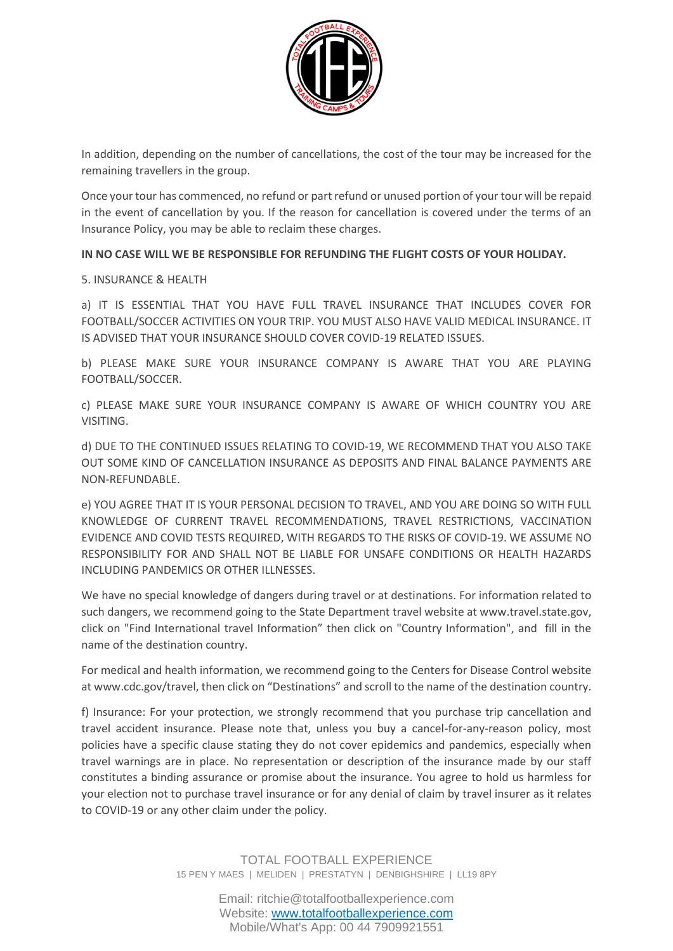

In addition, depending on the number of cancellations, the cost of the tour may be increased for the remaining travellers in the group.

Once your tour has commenced, no refund or part refund or unused portion of your tour will be repaid in the event of cancellation by you. If the reason for cancellation is covered under the terms of an Insurance Policy, you may be able to reclaim these charges.

**IN NO CASE WILL WE BE RESPONSIBLE FOR REFUNDING THE FLIGHT COSTS OF YOUR HOLIDAY.**

#### 5. INSURANCE & HEALTH

a) IT IS ESSENTIAL THAT YOU HAVE FULL TRAVEL INSURANCE THAT INCLUDES COVER FOR FOOTBALL/SOCCER ACTIVITIES ON YOUR TRIP. YOU MUST ALSO HAVE VALID MEDICAL INSURANCE. IT IS ADVISED THAT YOUR INSURANCE SHOULD COVER COVID-19 RELATED ISSUES.

b) PLEASE MAKE SURE YOUR INSURANCE COMPANY IS AWARE THAT YOU ARE PLAYING FOOTBALL/SOCCER.

c) PLEASE MAKE SURE YOUR INSURANCE COMPANY IS AWARE OF WHICH COUNTRY YOU ARE VISITING.

d) DUE TO THE CONTINUED ISSUES RELATING TO COVID-19, WE RECOMMEND THAT YOU ALSO TAKE OUT SOME KIND OF CANCELLATION INSURANCE AS DEPOSITS AND FINAL BALANCE PAYMENTS ARE NON-REFUNDABLE.

e) YOU AGREE THAT IT IS YOUR PERSONAL DECISION TO TRAVEL, AND YOU ARE DOING SO WITH FULL KNOWLEDGE OF CURRENT TRAVEL RECOMMENDATIONS, TRAVEL RESTRICTIONS, VACCINATION EVIDENCE AND COVID TESTS REQUIRED, WITH REGARDS TO THE RISKS OF COVID-19. WE ASSUME NO RESPONSIBILITY FOR AND SHALL NOT BE LIABLE FOR UNSAFE CONDITIONS OR HEALTH HAZARDS INCLUDING PANDEMICS OR OTHER ILLNESSES.

We have no special knowledge of dangers during travel or at destinations. For information related to such dangers, we recommend going to the State Department travel website at www.travel.state.gov, click on "Find International travel Information" then click on "Country Information", and fill in the name of the destination country.

For medical and health information, we recommend going to the Centers for Disease Control website at www.cdc.gov/travel, then click on "Destinations" and scroll to the name of the destination country.

f) Insurance: For your protection, we strongly recommend that you purchase trip cancellation and travel accident insurance. Please note that, unless you buy a cancel-for-any-reason policy, most policies have a specific clause stating they do not cover epidemics and pandemics, especially when travel warnings are in place. No representation or description of the insurance made by our staff constitutes a binding assurance or promise about the insurance. You agree to hold us harmless for your election not to purchase travel insurance or for any denial of claim by travel insurer as it relates to COVID-19 or any other claim under the policy.

Email: ritchie@totalfootballexperience.com Website: [www.totalfootballexperience.com](http://www.totalfootballexperience.com/) Mobile/What's App: 00 44 7909921551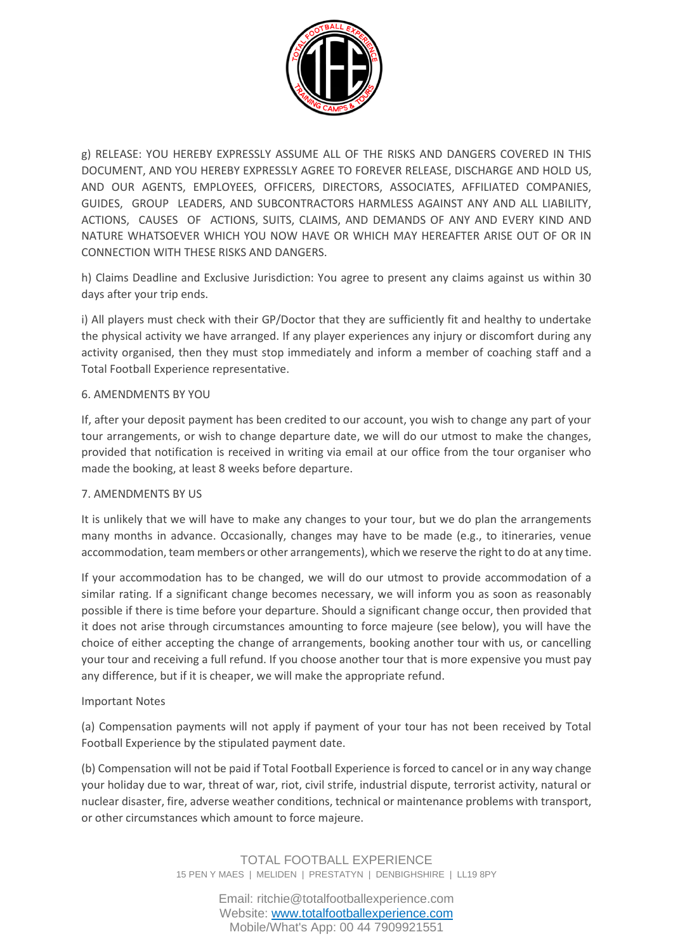

g) RELEASE: YOU HEREBY EXPRESSLY ASSUME ALL OF THE RISKS AND DANGERS COVERED IN THIS DOCUMENT, AND YOU HEREBY EXPRESSLY AGREE TO FOREVER RELEASE, DISCHARGE AND HOLD US, AND OUR AGENTS, EMPLOYEES, OFFICERS, DIRECTORS, ASSOCIATES, AFFILIATED COMPANIES, GUIDES, GROUP LEADERS, AND SUBCONTRACTORS HARMLESS AGAINST ANY AND ALL LIABILITY, ACTIONS, CAUSES OF ACTIONS, SUITS, CLAIMS, AND DEMANDS OF ANY AND EVERY KIND AND NATURE WHATSOEVER WHICH YOU NOW HAVE OR WHICH MAY HEREAFTER ARISE OUT OF OR IN CONNECTION WITH THESE RISKS AND DANGERS.

h) Claims Deadline and Exclusive Jurisdiction: You agree to present any claims against us within 30 days after your trip ends.

i) All players must check with their GP/Doctor that they are sufficiently fit and healthy to undertake the physical activity we have arranged. If any player experiences any injury or discomfort during any activity organised, then they must stop immediately and inform a member of coaching staff and a Total Football Experience representative.

### 6. AMENDMENTS BY YOU

If, after your deposit payment has been credited to our account, you wish to change any part of your tour arrangements, or wish to change departure date, we will do our utmost to make the changes, provided that notification is received in writing via email at our office from the tour organiser who made the booking, at least 8 weeks before departure.

#### 7. AMENDMENTS BY US

It is unlikely that we will have to make any changes to your tour, but we do plan the arrangements many months in advance. Occasionally, changes may have to be made (e.g., to itineraries, venue accommodation, team members or other arrangements), which we reserve the right to do at any time.

If your accommodation has to be changed, we will do our utmost to provide accommodation of a similar rating. If a significant change becomes necessary, we will inform you as soon as reasonably possible if there is time before your departure. Should a significant change occur, then provided that it does not arise through circumstances amounting to force majeure (see below), you will have the choice of either accepting the change of arrangements, booking another tour with us, or cancelling your tour and receiving a full refund. If you choose another tour that is more expensive you must pay any difference, but if it is cheaper, we will make the appropriate refund.

#### Important Notes

(a) Compensation payments will not apply if payment of your tour has not been received by Total Football Experience by the stipulated payment date.

(b) Compensation will not be paid if Total Football Experience is forced to cancel or in any way change your holiday due to war, threat of war, riot, civil strife, industrial dispute, terrorist activity, natural or nuclear disaster, fire, adverse weather conditions, technical or maintenance problems with transport, or other circumstances which amount to force majeure.

> TOTAL FOOTBALL EXPERIENCE 15 PEN Y MAES | MELIDEN | PRESTATYN | DENBIGHSHIRE | LL19 8PY

> > Email: ritchie@totalfootballexperience.com Website: [www.totalfootballexperience.com](http://www.totalfootballexperience.com/) Mobile/What's App: 00 44 7909921551